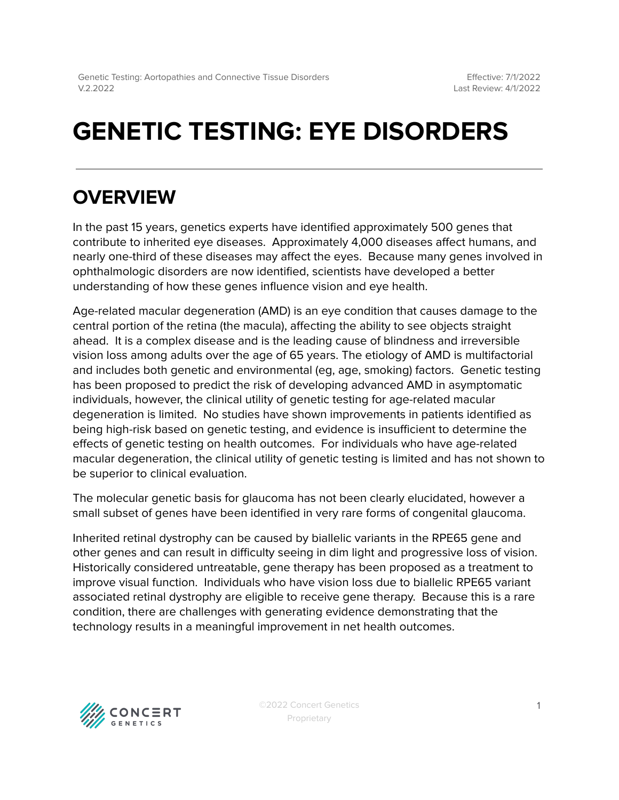# **GENETIC TESTING: EYE DISORDERS**

## **OVERVIEW**

In the past 15 years, genetics experts have identified approximately 500 genes that contribute to inherited eye diseases. Approximately 4,000 diseases affect humans, and nearly one-third of these diseases may affect the eyes. Because many genes involved in ophthalmologic disorders are now identified, scientists have developed a better understanding of how these genes influence vision and eye health.

Age-related macular degeneration (AMD) is an eye condition that causes damage to the central portion of the retina (the macula), affecting the ability to see objects straight ahead. It is a complex disease and is the leading cause of blindness and irreversible vision loss among adults over the age of 65 years. The etiology of AMD is multifactorial and includes both genetic and environmental (eg, age, smoking) factors. Genetic testing has been proposed to predict the risk of developing advanced AMD in asymptomatic individuals, however, the clinical utility of genetic testing for age-related macular degeneration is limited. No studies have shown improvements in patients identified as being high-risk based on genetic testing, and evidence is insufficient to determine the effects of genetic testing on health outcomes. For individuals who have age-related macular degeneration, the clinical utility of genetic testing is limited and has not shown to be superior to clinical evaluation.

The molecular genetic basis for glaucoma has not been clearly elucidated, however a small subset of genes have been identified in very rare forms of congenital glaucoma.

Inherited retinal dystrophy can be caused by biallelic variants in the RPE65 gene and other genes and can result in difficulty seeing in dim light and progressive loss of vision. Historically considered untreatable, gene therapy has been proposed as a treatment to improve visual function. Individuals who have vision loss due to biallelic RPE65 variant associated retinal dystrophy are eligible to receive gene therapy. Because this is a rare condition, there are challenges with generating evidence demonstrating that the technology results in a meaningful improvement in net health outcomes.

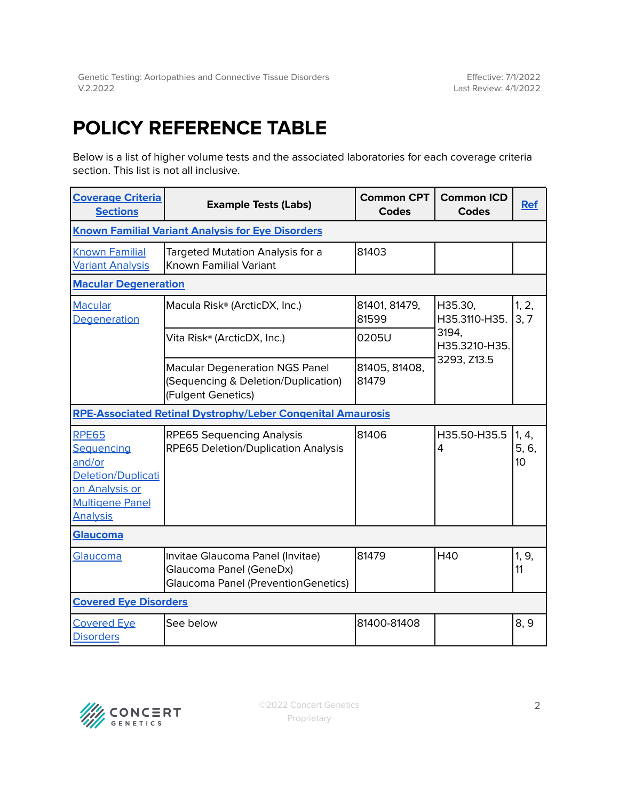## <span id="page-1-0"></span>**POLICY REFERENCE TABLE**

Below is a list of higher volume tests and the associated laboratories for each coverage criteria section. This list is not all inclusive.

| <b>Coverage Criteria</b><br><b>Sections</b>                                                                               | <b>Example Tests (Labs)</b>                                                                               | <b>Common CPT</b><br><b>Codes</b> | <b>Common ICD</b><br><b>Codes</b>                                 | <b>Ref</b>           |
|---------------------------------------------------------------------------------------------------------------------------|-----------------------------------------------------------------------------------------------------------|-----------------------------------|-------------------------------------------------------------------|----------------------|
| <b>Known Familial Variant Analysis for Eye Disorders</b>                                                                  |                                                                                                           |                                   |                                                                   |                      |
| <b>Known Familial</b><br><b>Variant Analysis</b>                                                                          | Targeted Mutation Analysis for a<br>Known Familial Variant                                                | 81403                             |                                                                   |                      |
| <b>Macular Degeneration</b>                                                                                               |                                                                                                           |                                   |                                                                   |                      |
| <b>Macular</b><br>Degeneration                                                                                            | Macula Risk <sup>®</sup> (ArcticDX, Inc.)                                                                 | 81401, 81479,<br>81599            | H35.30,<br>H35.3110-H35.<br>3194,<br>H35.3210-H35.<br>3293, Z13.5 | 1, 2,<br>3, 7        |
|                                                                                                                           | Vita Risk <sup>®</sup> (ArcticDX, Inc.)                                                                   | 0205U                             |                                                                   |                      |
|                                                                                                                           | <b>Macular Degeneration NGS Panel</b><br>(Sequencing & Deletion/Duplication)<br>(Fulgent Genetics)        | 81405, 81408,<br>81479            |                                                                   |                      |
| <b>RPE-Associated Retinal Dystrophy/Leber Congenital Amaurosis</b>                                                        |                                                                                                           |                                   |                                                                   |                      |
| <b>RPE65</b><br>Sequencing<br>and/or<br>Deletion/Duplicati<br>on Analysis or<br><b>Multigene Panel</b><br><b>Analysis</b> | <b>RPE65 Sequencing Analysis</b><br>RPE65 Deletion/Duplication Analysis                                   | 81406                             | H35.50-H35.5<br>4                                                 | 1, 4,<br>5, 6,<br>10 |
| Glaucoma                                                                                                                  |                                                                                                           |                                   |                                                                   |                      |
| Glaucoma                                                                                                                  | Invitae Glaucoma Panel (Invitae)<br>Glaucoma Panel (GeneDx)<br><b>Glaucoma Panel (PreventionGenetics)</b> | 81479                             | <b>H40</b>                                                        | 1, 9,<br>11          |
| <b>Covered Eye Disorders</b>                                                                                              |                                                                                                           |                                   |                                                                   |                      |
| <b>Covered Eye</b><br><b>Disorders</b>                                                                                    | See below                                                                                                 | 81400-81408                       |                                                                   | 8, 9                 |

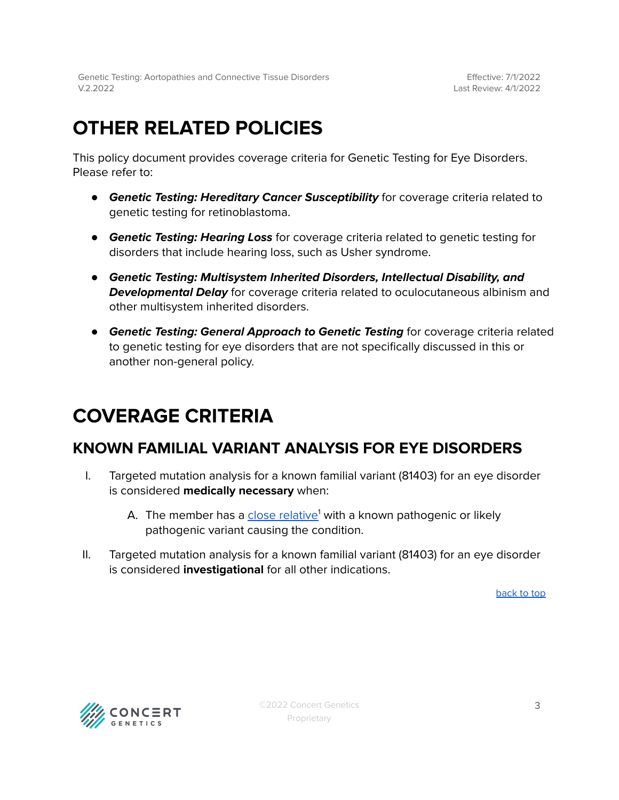## **OTHER RELATED POLICIES**

This policy document provides coverage criteria for Genetic Testing for Eye Disorders. Please refer to:

- **Genetic Testing: Hereditary Cancer Susceptibility** for coverage criteria related to genetic testing for retinoblastoma.
- **Genetic Testing: Hearing Loss** for coverage criteria related to genetic testing for disorders that include hearing loss, such as Usher syndrome.
- *●* **Genetic Testing: Multisystem Inherited Disorders, Intellectual Disability, and Developmental Delay** for coverage criteria related to oculocutaneous albinism and other multisystem inherited disorders.
- **Genetic Testing: General Approach to Genetic Testing** for coverage criteria related to genetic testing for eye disorders that are not specifically discussed in this or another non-general policy.

## <span id="page-2-0"></span>**COVERAGE CRITERIA**

### <span id="page-2-1"></span>**KNOWN FAMILIAL VARIANT ANALYSIS FOR EYE DISORDERS**

- I. Targeted mutation analysis for a known familial variant (81403) for an eye disorder is considered **medically necessary** when:
	- A. The member has a <u>close [relative](#page-4-1)</u>' with a known pathogenic or likely pathogenic variant causing the condition.
- II. Targeted mutation analysis for a known familial variant (81403) for an eye disorder is considered **investigational** for all other indications.

[back](#page-1-0) to top

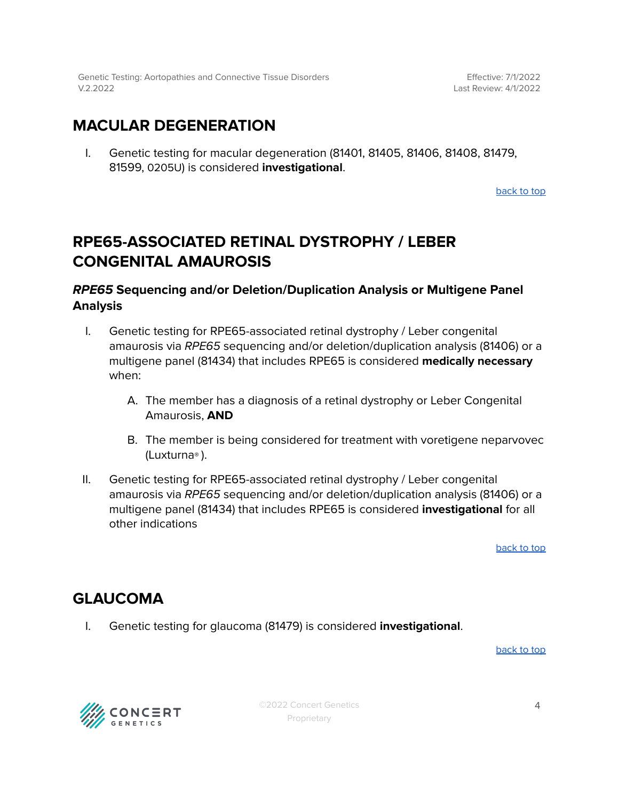### <span id="page-3-0"></span>**MACULAR DEGENERATION**

I. Genetic testing for macular degeneration (81401, 81405, 81406, 81408, 81479, 81599, 0205U) is considered **investigational**.

[back](#page-1-0) to top

### <span id="page-3-1"></span>**RPE65-ASSOCIATED RETINAL DYSTROPHY / LEBER CONGENITAL AMAUROSIS**

### **RPE65 Sequencing and/or Deletion/Duplication Analysis or Multigene Panel Analysis**

- I. Genetic testing for RPE65-associated retinal dystrophy / Leber congenital amaurosis via RPE65 sequencing and/or deletion/duplication analysis (81406) or a multigene panel (81434) that includes RPE65 is considered **medically necessary** when:
	- A. The member has a diagnosis of a retinal dystrophy or Leber Congenital Amaurosis, **AND**
	- B. The member is being considered for treatment with voretigene neparvovec (Luxturna® ).
- II. Genetic testing for RPE65-associated retinal dystrophy / Leber congenital amaurosis via RPE65 sequencing and/or deletion/duplication analysis (81406) or a multigene panel (81434) that includes RPE65 is considered **investigational** for all other indications

[back](#page-1-0) to top

### <span id="page-3-2"></span>**GLAUCOMA**

I. Genetic testing for glaucoma (81479) is considered **investigational**.

[back](#page-1-0) to top



©2022 Concert Genetics Proprietary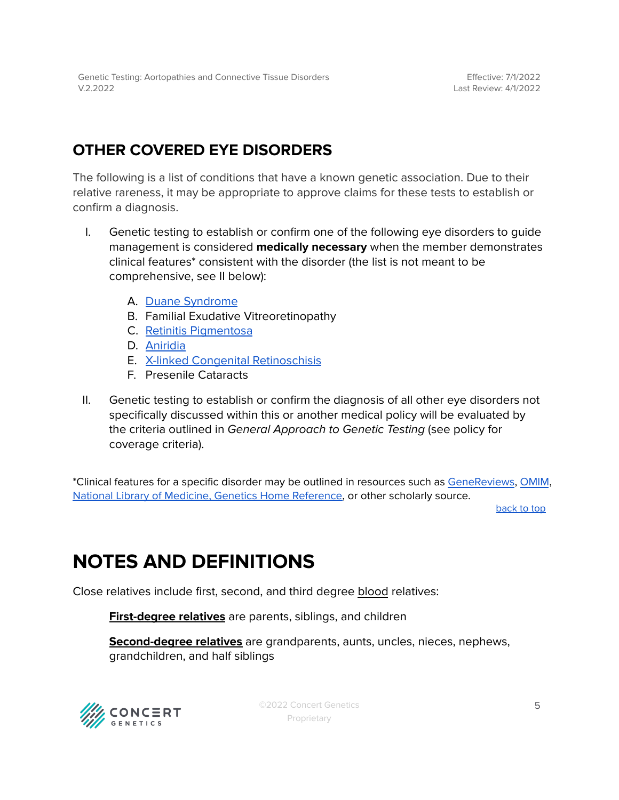### <span id="page-4-0"></span>**OTHER COVERED EYE DISORDERS**

The following is a list of conditions that have a known genetic association. Due to their relative rareness, it may be appropriate to approve claims for these tests to establish or confirm a diagnosis.

- I. Genetic testing to establish or confirm one of the following eye disorders to guide management is considered **medically necessary** when the member demonstrates clinical features\* consistent with the disorder (the list is not meant to be comprehensive, see II below):
	- A. Duane [Syndrome](https://www.ncbi.nlm.nih.gov/books/NBK1190/)
	- B. Familial Exudative Vitreoretinopathy
	- C. Retinitis [Pigmentosa](https://www.ncbi.nlm.nih.gov/books/NBK1417/)
	- D. [Aniridia](https://www.ncbi.nlm.nih.gov/books/NBK1360/)
	- E. X-linked Congenital [Retinoschisis](https://www.ncbi.nlm.nih.gov/books/NBK1222/)
	- F. Presenile Cataracts
- II. Genetic testing to establish or confirm the diagnosis of all other eye disorders not specifically discussed within this or another medical policy will be evaluated by the criteria outlined in General Approach to Genetic Testing (see policy for coverage criteria).

\*Clinical features for a specific disorder may be outlined in resources such as [GeneReviews](https://www.ncbi.nlm.nih.gov/books/NBK1116/), [OMIM](https://www.omim.org/), National Library of Medicine, Genetics Home [Reference,](https://medlineplus.gov/genetics/) or other scholarly source.

[back](#page-1-0) to top

## <span id="page-4-1"></span>**NOTES AND DEFINITIONS**

Close relatives include first, second, and third degree blood relatives:

**First-degree relatives** are parents, siblings, and children

**Second-degree relatives** are grandparents, aunts, uncles, nieces, nephews, grandchildren, and half siblings



©2022 Concert Genetics Proprietary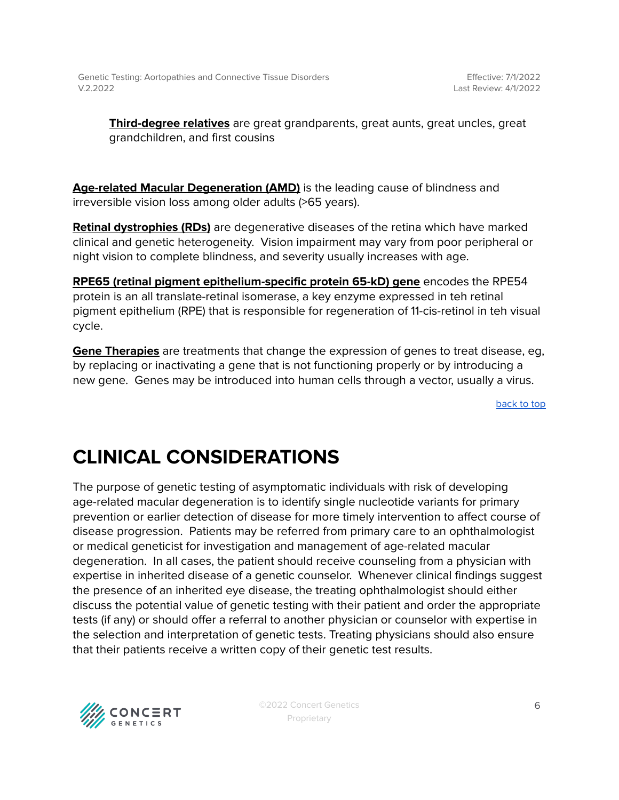**Third-degree relatives** are great grandparents, great aunts, great uncles, great grandchildren, and first cousins

**Age-related Macular Degeneration (AMD)** is the leading cause of blindness and irreversible vision loss among older adults (>65 years).

**Retinal dystrophies (RDs)** are degenerative diseases of the retina which have marked clinical and genetic heterogeneity. Vision impairment may vary from poor peripheral or night vision to complete blindness, and severity usually increases with age.

**RPE65 (retinal pigment epithelium-specific protein 65-kD) gene** encodes the RPE54 protein is an all translate-retinal isomerase, a key enzyme expressed in teh retinal pigment epithelium (RPE) that is responsible for regeneration of 11-cis-retinol in teh visual cycle.

**Gene Therapies** are treatments that change the expression of genes to treat disease, eg, by replacing or inactivating a gene that is not functioning properly or by introducing a new gene. Genes may be introduced into human cells through a vector, usually a virus.

[back](#page-1-0) to top

## **CLINICAL CONSIDERATIONS**

The purpose of genetic testing of asymptomatic individuals with risk of developing age-related macular degeneration is to identify single nucleotide variants for primary prevention or earlier detection of disease for more timely intervention to affect course of disease progression. Patients may be referred from primary care to an ophthalmologist or medical geneticist for investigation and management of age-related macular degeneration. In all cases, the patient should receive counseling from a physician with expertise in inherited disease of a genetic counselor. Whenever clinical findings suggest the presence of an inherited eye disease, the treating ophthalmologist should either discuss the potential value of genetic testing with their patient and order the appropriate tests (if any) or should offer a referral to another physician or counselor with expertise in the selection and interpretation of genetic tests. Treating physicians should also ensure that their patients receive a written copy of their genetic test results.



©2022 Concert Genetics Proprietary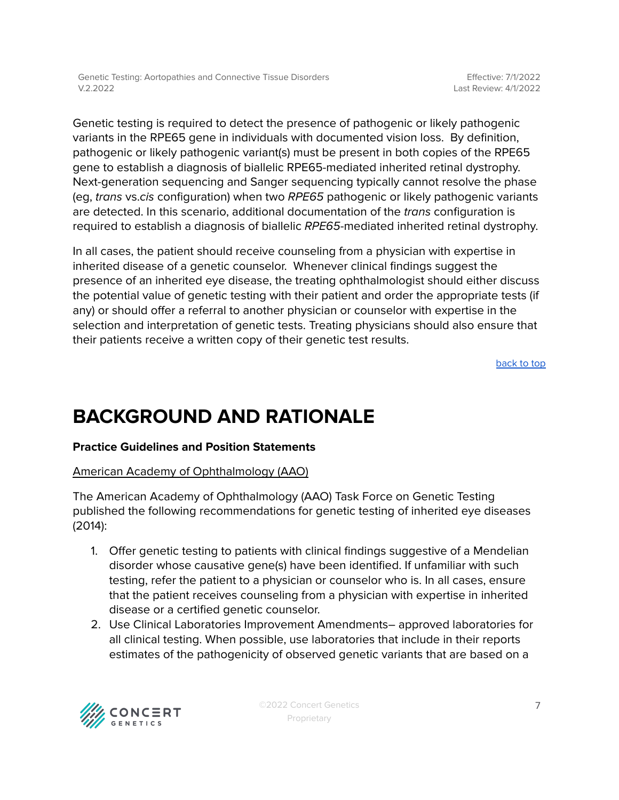Genetic testing is required to detect the presence of pathogenic or likely pathogenic variants in the RPE65 gene in individuals with documented vision loss. By definition, pathogenic or likely pathogenic variant(s) must be present in both copies of the RPE65 gene to establish a diagnosis of biallelic RPE65-mediated inherited retinal dystrophy. Next-generation sequencing and Sanger sequencing typically cannot resolve the phase (eg, trans vs.cis configuration) when two RPE65 pathogenic or likely pathogenic variants are detected. In this scenario, additional documentation of the trans configuration is required to establish a diagnosis of biallelic RPE65-mediated inherited retinal dystrophy.

In all cases, the patient should receive counseling from a physician with expertise in inherited disease of a genetic counselor. Whenever clinical findings suggest the presence of an inherited eye disease, the treating ophthalmologist should either discuss the potential value of genetic testing with their patient and order the appropriate tests (if any) or should offer a referral to another physician or counselor with expertise in the selection and interpretation of genetic tests. Treating physicians should also ensure that their patients receive a written copy of their genetic test results.

[back](#page-1-0) to top

### **BACKGROUND AND RATIONALE**

#### **Practice Guidelines and Position Statements**

#### American Academy of Ophthalmology (AAO)

The American Academy of Ophthalmology (AAO) Task Force on Genetic Testing published the following recommendations for genetic testing of inherited eye diseases (2014):

- 1. Offer genetic testing to patients with clinical findings suggestive of a Mendelian disorder whose causative gene(s) have been identified. If unfamiliar with such testing, refer the patient to a physician or counselor who is. In all cases, ensure that the patient receives counseling from a physician with expertise in inherited disease or a certified genetic counselor.
- 2. Use Clinical Laboratories Improvement Amendments– approved laboratories for all clinical testing. When possible, use laboratories that include in their reports estimates of the pathogenicity of observed genetic variants that are based on a

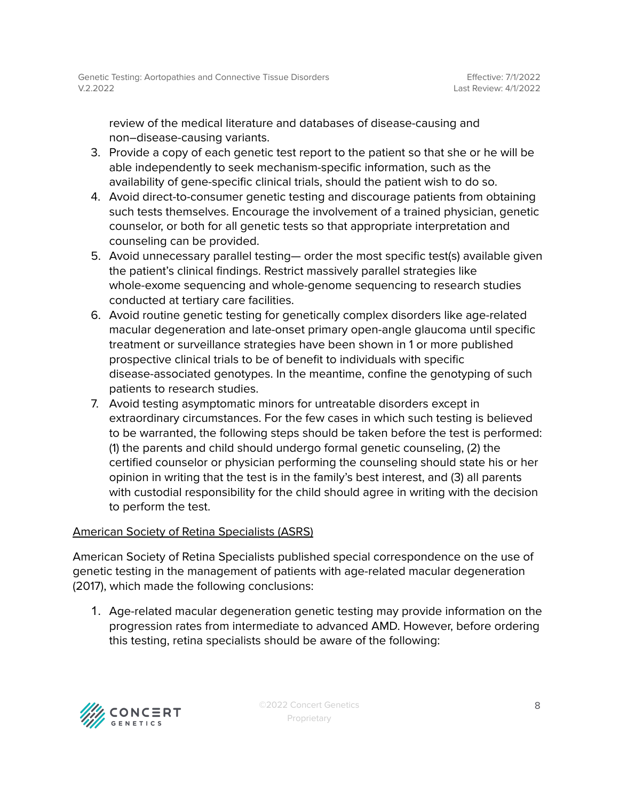review of the medical literature and databases of disease-causing and non–disease-causing variants.

- 3. Provide a copy of each genetic test report to the patient so that she or he will be able independently to seek mechanism-specific information, such as the availability of gene-specific clinical trials, should the patient wish to do so.
- 4. Avoid direct-to-consumer genetic testing and discourage patients from obtaining such tests themselves. Encourage the involvement of a trained physician, genetic counselor, or both for all genetic tests so that appropriate interpretation and counseling can be provided.
- 5. Avoid unnecessary parallel testing— order the most specific test(s) available given the patient's clinical findings. Restrict massively parallel strategies like whole-exome sequencing and whole-genome sequencing to research studies conducted at tertiary care facilities.
- 6. Avoid routine genetic testing for genetically complex disorders like age-related macular degeneration and late-onset primary open-angle glaucoma until specific treatment or surveillance strategies have been shown in 1 or more published prospective clinical trials to be of benefit to individuals with specific disease-associated genotypes. In the meantime, confine the genotyping of such patients to research studies.
- 7. Avoid testing asymptomatic minors for untreatable disorders except in extraordinary circumstances. For the few cases in which such testing is believed to be warranted, the following steps should be taken before the test is performed: (1) the parents and child should undergo formal genetic counseling, (2) the certified counselor or physician performing the counseling should state his or her opinion in writing that the test is in the family's best interest, and (3) all parents with custodial responsibility for the child should agree in writing with the decision to perform the test.

#### American Society of Retina Specialists (ASRS)

American Society of Retina Specialists published special correspondence on the use of genetic testing in the management of patients with age-related macular degeneration (2017), which made the following conclusions:

1. Age-related macular degeneration genetic testing may provide information on the progression rates from intermediate to advanced AMD. However, before ordering this testing, retina specialists should be aware of the following:

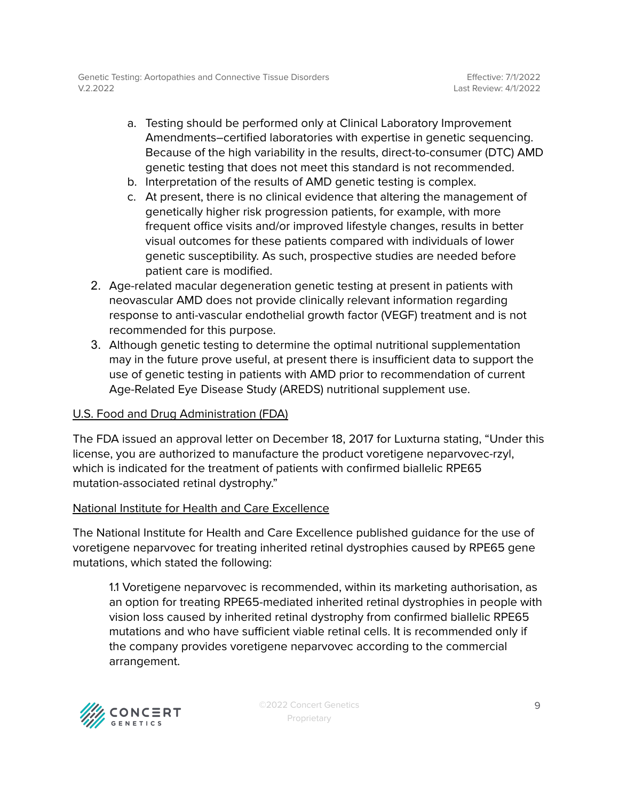- a. Testing should be performed only at Clinical Laboratory Improvement Amendments–certified laboratories with expertise in genetic sequencing. Because of the high variability in the results, direct-to-consumer (DTC) AMD genetic testing that does not meet this standard is not recommended.
- b. Interpretation of the results of AMD genetic testing is complex.
- c. At present, there is no clinical evidence that altering the management of genetically higher risk progression patients, for example, with more frequent office visits and/or improved lifestyle changes, results in better visual outcomes for these patients compared with individuals of lower genetic susceptibility. As such, prospective studies are needed before patient care is modified.
- 2. Age-related macular degeneration genetic testing at present in patients with neovascular AMD does not provide clinically relevant information regarding response to anti-vascular endothelial growth factor (VEGF) treatment and is not recommended for this purpose.
- 3. Although genetic testing to determine the optimal nutritional supplementation may in the future prove useful, at present there is insufficient data to support the use of genetic testing in patients with AMD prior to recommendation of current Age-Related Eye Disease Study (AREDS) nutritional supplement use.

#### U.S. Food and Drug Administration (FDA)

The FDA issued an approval letter on December 18, 2017 for Luxturna stating, "Under this license, you are authorized to manufacture the product voretigene neparvovec-rzyl, which is indicated for the treatment of patients with confirmed biallelic RPE65 mutation-associated retinal dystrophy."

#### National Institute for Health and Care Excellence

The National Institute for Health and Care Excellence published guidance for the use of voretigene neparvovec for treating inherited retinal dystrophies caused by RPE65 gene mutations, which stated the following:

1.1 Voretigene neparvovec is recommended, within its marketing authorisation, as an option for treating RPE65-mediated inherited retinal dystrophies in people with vision loss caused by inherited retinal dystrophy from confirmed biallelic RPE65 mutations and who have sufficient viable retinal cells. It is recommended only if the company provides voretigene neparvovec according to the commercial arrangement.

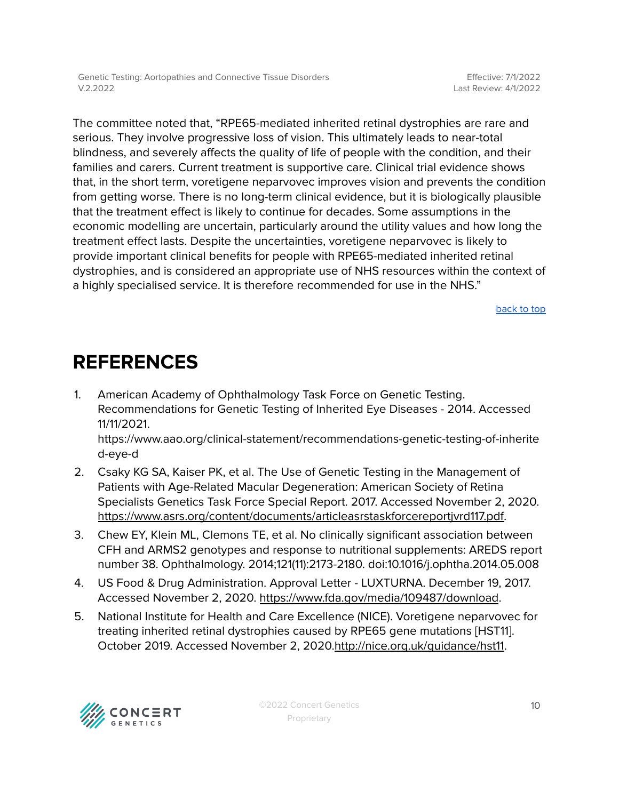The committee noted that, "RPE65-mediated inherited retinal dystrophies are rare and serious. They involve progressive loss of vision. This ultimately leads to near-total blindness, and severely affects the quality of life of people with the condition, and their families and carers. Current treatment is supportive care. Clinical trial evidence shows that, in the short term, voretigene neparvovec improves vision and prevents the condition from getting worse. There is no long-term clinical evidence, but it is biologically plausible that the treatment effect is likely to continue for decades. Some assumptions in the economic modelling are uncertain, particularly around the utility values and how long the treatment effect lasts. Despite the uncertainties, voretigene neparvovec is likely to provide important clinical benefits for people with RPE65-mediated inherited retinal dystrophies, and is considered an appropriate use of NHS resources within the context of a highly specialised service. It is therefore recommended for use in the NHS."

[back](#page-1-0) to top

### <span id="page-9-0"></span>**REFERENCES**

1. American Academy of Ophthalmology Task Force on Genetic Testing. Recommendations for Genetic Testing of Inherited Eye Diseases - 2014. Accessed 11/11/2021.

[https://www.aao.org/clinical-statement/recommendations-genetic-testing-of-inherite](https://www.aao.org/clinical-statement/recommendations-genetic-testing-of-inherited-eye-d) [d-eye-d](https://www.aao.org/clinical-statement/recommendations-genetic-testing-of-inherited-eye-d)

- 2. Csaky KG SA, Kaiser PK, et al. The Use of Genetic Testing in the Management of Patients with Age-Related Macular Degeneration: American Society of Retina Specialists Genetics Task Force Special Report. 2017. Accessed November 2, 2020. [https://www.asrs.org/content/documents/articleasrstaskforcereportjvrd117.pdf.](https://www.asrs.org/content/documents/articleasrstaskforcereportjvrd117.pdf)
- 3. Chew EY, Klein ML, Clemons TE, et al. No clinically significant association between CFH and ARMS2 genotypes and response to nutritional supplements: AREDS report number 38. Ophthalmology. 2014;121(11):2173-2180. doi:10.1016/j.ophtha.2014.05.008
- 4. US Food & Drug Administration. Approval Letter LUXTURNA. December 19, 2017. Accessed November 2, 2020. <https://www.fda.gov/media/109487/download>.
- 5. National Institute for Health and Care Excellence (NICE). Voretigene neparvovec for treating inherited retinal dystrophies caused by RPE65 gene mutations [HST11]. October 2019. Accessed November 2, 2020.[http://nice.org.uk/guidance/hst11.](http://nice.org.uk/guidance/hst11)